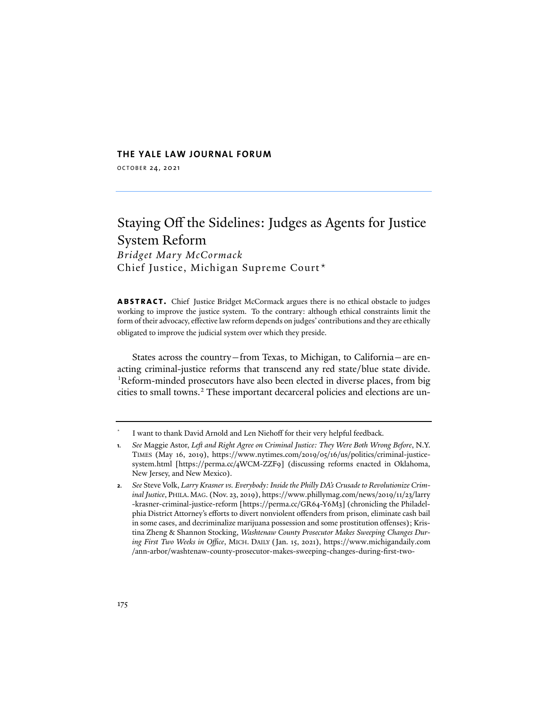#### **THE YALE LAW JOURNAL FORUM**

OCTOBER 24, 2021

# Staying Off the Sidelines: Judges as Agents for Justice System Reform *Bridget Mary McCormack* Chief Justice, Michigan Supreme Court[\\*](#page-0-0)

**ABSTRACT.** Chief Justice Bridget McCormack argues there is no ethical obstacle to judges working to improve the justice system. To the contrary: although ethical constraints limit the form of their advocacy, effective law reform depends on judges'contributions and they are ethically obligated to improve the judicial system over which they preside.

States across the country—from Texas, to Michigan, to California—are enacting criminal-justice reforms that transcend any red state/blue state divide. <sup>[1](#page-0-1)</sup>Reform-minded prosecutors have also been elected in diverse places, from big cities to small towns.<sup>[2](#page-0-2)</sup> These important decarceral policies and elections are un-

<span id="page-0-0"></span><sup>\*</sup> I want to thank David Arnold and Len Niehoff for their very helpful feedback.

<span id="page-0-1"></span>**<sup>1</sup>***. See* Maggie Astor, *Le� and Right Agree on Criminal Justice: They Were Both Wrong Before*, N.Y. TIMES (May 16, 2019), https://www.nytimes.com/2019/05/16/us/politics/criminal-justicesystem.html [https://perma.cc/4WCM-ZZF9] (discussing reforms enacted in Oklahoma, New Jersey, and New Mexico).

<span id="page-0-2"></span>**<sup>2</sup>***. See* Steve Volk, *Larry Krasner vs. Everybody: Inside the Philly DA's Crusade to Revolutionize Criminal Justice*, PHILA.MAG. (Nov. 23, 2019), https://www.phillymag.com/news/2019/11/23/larry -krasner-criminal-justice-reform [https://perma.cc/GR64-Y6M3] (chronicling the Philadelphia District Attorney's efforts to divert nonviolent offenders from prison, eliminate cash bail in some cases, and decriminalize marijuana possession and some prostitution offenses); Kristina Zheng & Shannon Stocking, *Washtenaw County Prosecutor Makes Sweeping Changes During First Two Weeks in Office*, MICH. DAILY (Jan. 15, 2021), https://www.michigandaily.com /ann-arbor/washtenaw-county-prosecutor-makes-sweeping-changes-during-first-two-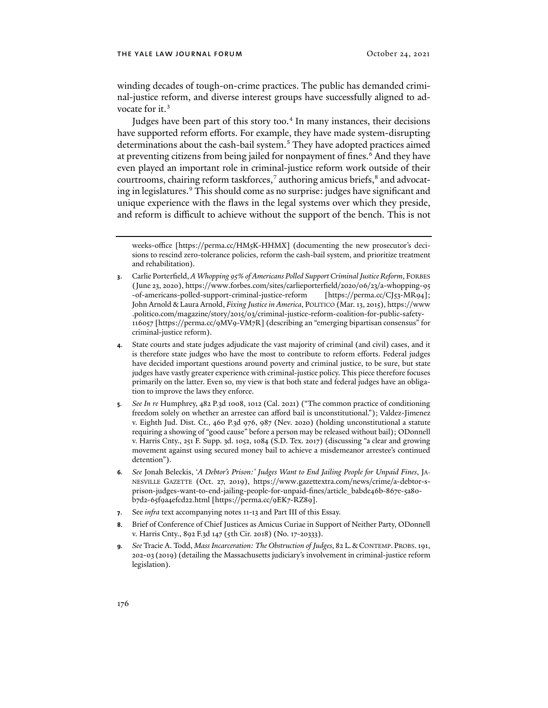winding decades of tough-on-crime practices. The public has demanded criminal-justice reform, and diverse interest groups have successfully aligned to advocate for it.<sup>3</sup>

Judges have been part of this story too.<sup>[4](#page-1-1)</sup> In many instances, their decisions have supported reform efforts. For example, they have made system-disrupting determinations about the cash-bail system.<sup>[5](#page-1-2)</sup> They have adopted practices aimed at preventing citizens from being jailed for nonpayment of fines.<sup>6</sup> And they have even played an important role in criminal-justice reform work outside of their courtrooms, chairing reform taskforces,<sup>[7](#page-1-4)</sup> authoring amicus briefs,<sup>[8](#page-1-5)</sup> and advocat-ing in legislatures.<sup>[9](#page-1-6)</sup> This should come as no surprise: judges have significant and unique experience with the flaws in the legal systems over which they preside, and reform is difficult to achieve without the support of the bench. This is not

- <span id="page-1-2"></span>**5***. See In re* Humphrey, 482 P.3d 1008, 1012 (Cal. 2021) ("The common practice of conditioning freedom solely on whether an arrestee can afford bail is unconstitutional."); Valdez-Jimenez v. Eighth Jud. Dist. Ct., 460 P.3d 976, 987 (Nev. 2020) (holding unconstitutional a statute requiring a showing of "good cause" before a person may be released without bail); ODonnell v. Harris Cnty., 251 F. Supp. 3d. 1052, 1084 (S.D. Tex. 2017) (discussing "a clear and growing movement against using secured money bail to achieve a misdemeanor arrestee's continued detention").
- <span id="page-1-3"></span>**6***. See* Jonah Beleckis, '*A Debtor's Prison:' Judges Want to End Jailing People for Unpaid Fines*, JA-NESVILLE GAZETTE (Oct. 27, 2019), https://www.gazettextra.com/news/crime/a-debtor-sprison-judges-want-to-end-jailing-people-for-unpaid-fines/article\_babde46b-867e-5a80 b7d2-65f9a4efcd22.html [https://perma.cc/9EK7-RZ89].
- <span id="page-1-4"></span>**7**. See *infra* text accompanying notes [11](#page-2-0)[-13](#page-2-1) and Part III of this Essay.
- <span id="page-1-5"></span>**8**. Brief of Conference of Chief Justices as Amicus Curiae in Support of Neither Party, ODonnell v. Harris Cnty., 892 F.3d 147 (5th Cir. 2018) (No. 17-20333).
- <span id="page-1-6"></span>**9***. See* Tracie A. Todd, *Mass Incarceration: The Obstruction of Judges*, 82 L.&CONTEMP. PROBS.191, 202-03 (2019) (detailing the Massachusetts judiciary's involvement in criminal-justice reform legislation).

<span id="page-1-7"></span>weeks-office [https://perma.cc/HM5K-HHMX] (documenting the new prosecutor's decisions to rescind zero-tolerance policies, reform the cash-bail system, and prioritize treatment and rehabilitation).

<span id="page-1-0"></span>**<sup>3</sup>**. Carlie Porterfield, *A Whopping 95% of Americans Polled Support Criminal Justice Reform*, FORBES (June 23, 2020), https://www.forbes.com/sites/carlieporterfield/2020/06/23/a-whopping-95 -of-americans-polled-support-criminal-justice-reform [https://perma.cc/CJ53-MR94]; John Arnold & Laura Arnold, *Fixing Justice in America*, POLITICO (Mar. 13, 2015), https://www .politico.com/magazine/story/2015/03/criminal-justice-reform-coalition-for-public-safety-116057 [https://perma.cc/9MV9-VM7R] (describing an "emerging bipartisan consensus" for criminal-justice reform).

<span id="page-1-1"></span>**<sup>4</sup>**. State courts and state judges adjudicate the vast majority of criminal (and civil) cases, and it is therefore state judges who have the most to contribute to reform efforts. Federal judges have decided important questions around poverty and criminal justice, to be sure, but state judges have vastly greater experience with criminal-justice policy. This piece therefore focuses primarily on the latter. Even so, my view is that both state and federal judges have an obligation to improve the laws they enforce.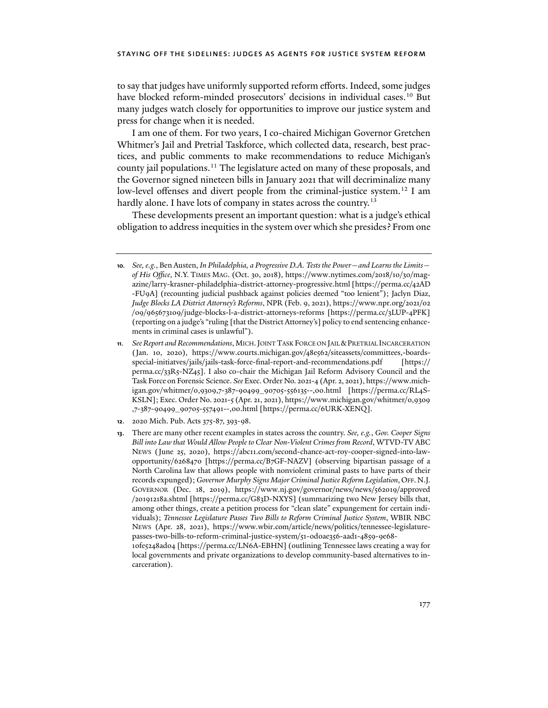to say that judges have uniformly supported reform efforts. Indeed, some judges have blocked reform-minded prosecutors' decisions in individual cases.<sup>[10](#page-2-2)</sup> But many judges watch closely for opportunities to improve our justice system and press for change when it is needed.

<span id="page-2-0"></span>I am one of them. For two years, I co-chaired Michigan Governor Gretchen Whitmer's Jail and Pretrial Taskforce, which collected data, research, best practices, and public comments to make recommendations to reduce Michigan's county jail populations.[11](#page-2-3) The legislature acted on many of these proposals, and the Governor signed nineteen bills in January 2021 that will decriminalize many low-level offenses and divert people from the criminal-justice system.<sup>[12](#page-2-4)</sup> I am hardly alone. I have lots of company in states across the country.<sup>[13](#page-2-5)</sup>

<span id="page-2-1"></span>These developments present an important question: what is a judge's ethical obligation to address inequities in the system over which she presides? From one

<span id="page-2-2"></span>**<sup>10</sup>***. See, e.g.*, Ben Austen, *In Philadelphia, a Progressive D.A. Tests the Power—and Learns the Limits of His Office*, N.Y. TIMES MAG. (Oct. 30, 2018), https://www.nytimes.com/2018/10/30/magazine/larry-krasner-philadelphia-district-attorney-progressive.html [https://perma.cc/42AD -FU9A] (recounting judicial pushback against policies deemed "too lenient"); Jaclyn Diaz, *Judge Blocks LA District Attorney's Reforms*, NPR (Feb. 9, 2021), https://www.npr.org/2021/02 /09/965673109/judge-blocks-l-a-district-attorneys-reforms [\[https://perma.cc/3LUP-4PFK\]](https://perma.cc/3LUP-4PFK) (reporting on a judge's "ruling [that the District Attorney's] policy to end sentencing enhancements in criminal cases is unlawful").

<span id="page-2-3"></span>**<sup>11</sup>***. See Report and Recommendations*, MICH.JOINT TASK FORCE ON JAIL &PRETRIAL INCARCERATION (Jan. 10, 2020), https://www.courts.michigan.gov/48e562/siteassets/committees,-boardsspecial-initiatves/jails/jails-task-force-final-report-and-recommendations.pdf [https:// perma.cc/33R5-NZ45]. I also co-chair the Michigan Jail Reform Advisory Council and the Task Force on Forensic Science. *See* Exec. Order No. 2021-4 (Apr. 2, 2021), https://www.michigan.gov/whitmer/0,9309,7-387-90499\_90705-556135--,00.html [https://perma.cc/RL4S-KSLN]; Exec. Order No. 2021-5 (Apr. 21, 2021), https://www.michigan.gov/whitmer/0,9309 ,7-387-90499\_90705-557491--,00.html [https://perma.cc/6URK-XENQ].

<span id="page-2-5"></span><span id="page-2-4"></span>**<sup>12</sup>**. 2020 Mich. Pub. Acts 375-87, 393-98.

**<sup>13</sup>**. There are many other recent examples in states across the country. *See, e.g.*, *Gov. Cooper Signs Bill into Law that Would Allow People to Clear Non-Violent Crimes from Record*, WTVD-TV ABC NEWS (June 25, 2020), https://abc11.com/second-chance-act-roy-cooper-signed-into-lawopportunity/6268470 [https://perma.cc/B7GF-NAZV] (observing bipartisan passage of a North Carolina law that allows people with nonviolent criminal pasts to have parts of their records expunged); *Governor Murphy Signs Major Criminal Justice Reform Legislation*, OFF.N.J. GOVERNOR (Dec. 18, 2019), https://www.nj.gov/governor/news/news/562019/approved /20191218a.shtml [https://perma.cc/G83D-NXYS] (summarizing two New Jersey bills that, among other things, create a petition process for "clean slate" expungement for certain individuals); *Tennessee Legislature Passes Two Bills to Reform Criminal Justice System*, WBIR NBC NEWS (Apr. 28, 2021), https://www.wbir.com/article/news/politics/tennessee-legislaturepasses-two-bills-to-reform-criminal-justice-system/51-0d0ae356-aad1-4859-9e68-

<sup>10</sup>fe5248ad04 [https://perma.cc/LN6A-EBHN] (outlining Tennessee laws creating a way for local governments and private organizations to develop community-based alternatives to incarceration).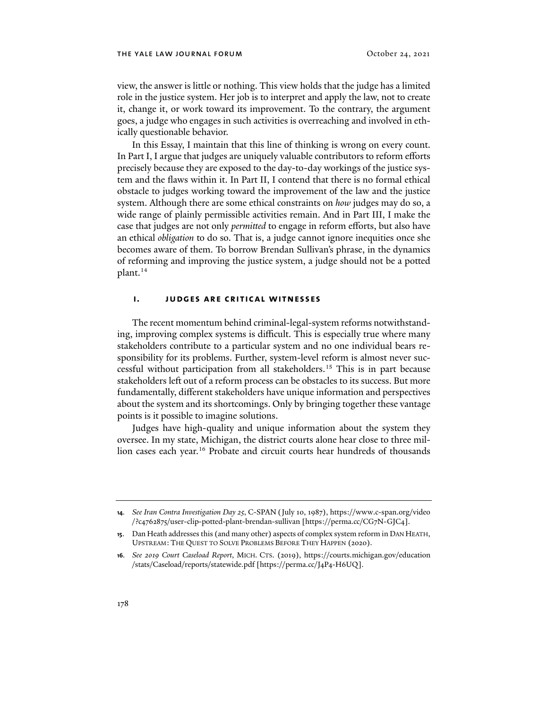view, the answer is little or nothing. This view holds that the judge has a limited role in the justice system. Her job is to interpret and apply the law, not to create it, change it, or work toward its improvement. To the contrary, the argument goes, a judge who engages in such activities is overreaching and involved in ethically questionable behavior.

In this Essay, I maintain that this line of thinking is wrong on every count. In Part I, I argue that judges are uniquely valuable contributors to reform efforts precisely because they are exposed to the day-to-day workings of the justice system and the flaws within it. In Part II, I contend that there is no formal ethical obstacle to judges working toward the improvement of the law and the justice system. Although there are some ethical constraints on *how* judges may do so, a wide range of plainly permissible activities remain. And in Part III, I make the case that judges are not only *permitted* to engage in reform efforts, but also have an ethical *obligation* to do so. That is, a judge cannot ignore inequities once she becomes aware of them. To borrow Brendan Sullivan's phrase, in the dynamics of reforming and improving the justice system, a judge should not be a potted plant.<sup>[14](#page-3-0)</sup>

#### **i. judges are critical witnesses**

The recent momentum behind criminal-legal-system reforms notwithstanding, improving complex systems is difficult. This is especially true where many stakeholders contribute to a particular system and no one individual bears responsibility for its problems. Further, system-level reform is almost never successful without participation from all stakeholders.[15](#page-3-1) This is in part because stakeholders left out of a reform process can be obstacles to its success. But more fundamentally, different stakeholders have unique information and perspectives about the system and its shortcomings. Only by bringing together these vantage points is it possible to imagine solutions.

Judges have high-quality and unique information about the system they oversee. In my state, Michigan, the district courts alone hear close to three mil-lion cases each year.<sup>[16](#page-3-2)</sup> Probate and circuit courts hear hundreds of thousands

<span id="page-3-0"></span>**<sup>14</sup>***. See Iran Contra Investigation Day 25*, C-SPAN (July 10, 1987), https://www.c-span.org/video /?c4762875/user-clip-potted-plant-brendan-sullivan [https://perma.cc/CG7N-GJC4].

<span id="page-3-1"></span>**<sup>15</sup>**. Dan Heath addresses this (and many other) aspects of complex system reform in DAN HEATH, UPSTREAM: THE QUEST TO SOLVE PROBLEMS BEFORE THEY HAPPEN (2020).

<span id="page-3-2"></span>**<sup>16</sup>***. See 2019 Court Caseload Report*, MICH. CTS. (2019), https://courts.michigan.gov/education /stats/Caseload/reports/statewide.pdf [https://perma.cc/J4P4-H6UQ].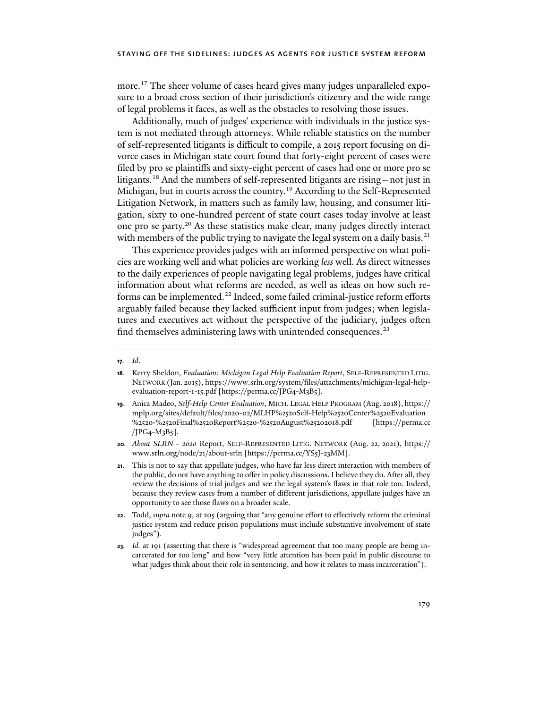more.[17](#page-4-0) The sheer volume of cases heard gives many judges unparalleled exposure to a broad cross section of their jurisdiction's citizenry and the wide range of legal problems it faces, as well as the obstacles to resolving those issues.

Additionally, much of judges' experience with individuals in the justice system is not mediated through attorneys. While reliable statistics on the number of self-represented litigants is difficult to compile, a 2015 report focusing on divorce cases in Michigan state court found that forty-eight percent of cases were filed by pro se plaintiffs and sixty-eight percent of cases had one or more pro se litigants.<sup>[18](#page-4-1)</sup> And the numbers of self-represented litigants are rising – not just in Michigan, but in courts across the country.<sup>[19](#page-4-2)</sup> According to the Self-Represented Litigation Network, in matters such as family law, housing, and consumer litigation, sixty to one-hundred percent of state court cases today involve at least one pro se party.[20](#page-4-3) As these statistics make clear, many judges directly interact with members of the public trying to navigate the legal system on a daily basis.<sup>[21](#page-4-4)</sup>

This experience provides judges with an informed perspective on what policies are working well and what policies are working *less* well. As direct witnesses to the daily experiences of people navigating legal problems, judges have critical information about what reforms are needed, as well as ideas on how such re-forms can be implemented.<sup>[22](#page-4-5)</sup> Indeed, some failed criminal-justice reform efforts arguably failed because they lacked sufficient input from judges; when legislatures and executives act without the perspective of the judiciary, judges often find themselves administering laws with unintended consequences.<sup>[23](#page-4-6)</sup>

- <span id="page-4-2"></span>**19**. Anica Madeo, *Self-Help Center Evaluation*, MICH. LEGAL HELP PROGRAM (Aug. 2018), https:// mplp.org/sites/default/files/2020-02/MLHP%2520Self-Help%2520Center%2520Evaluation %2520-%2520Final%2520Report%2520-%2520August%25202018.pdf [https://perma.cc /JPG4-M3B5].
- <span id="page-4-3"></span>**20***. About SLRN - 2020* Report, SELF-REPRESENTED LITIG. NETWORK (Aug. 22, 2021), https:// www.srln.org/node/21/about-srln [https://perma.cc/YS5J-23MM].
- <span id="page-4-4"></span>**21**. This is not to say that appellate judges, who have far less direct interaction with members of the public, do not have anything to offer in policy discussions. I believe they do. After all, they review the decisions of trial judges and see the legal system's flaws in that role too. Indeed, because they review cases from a number of different jurisdictions, appellate judges have an opportunity to see those flaws on a broader scale.
- <span id="page-4-5"></span>**22**. Todd, *supra* not[e 9,](#page-1-7) at 205 (arguing that "any genuine effort to effectively reform the criminal justice system and reduce prison populations must include substantive involvement of state judges").
- <span id="page-4-6"></span>**23***. Id.* at 191 (asserting that there is "widespread agreement that too many people are being incarcerated for too long" and how "very little attention has been paid in public discourse to what judges think about their role in sentencing, and how it relates to mass incarceration").

<span id="page-4-0"></span>**<sup>17</sup>***. Id*.

<span id="page-4-1"></span>**<sup>18</sup>**. Kerry Sheldon, *Evaluation: Michigan Legal Help Evaluation Report*, SELF-REPRESENTED LITIG. NETWORK (Jan. 2015), https://www.srln.org/system/files/attachments/michigan-legal-helpevaluation-report-1-15.pdf [https://perma.cc/JPG4-M3B5].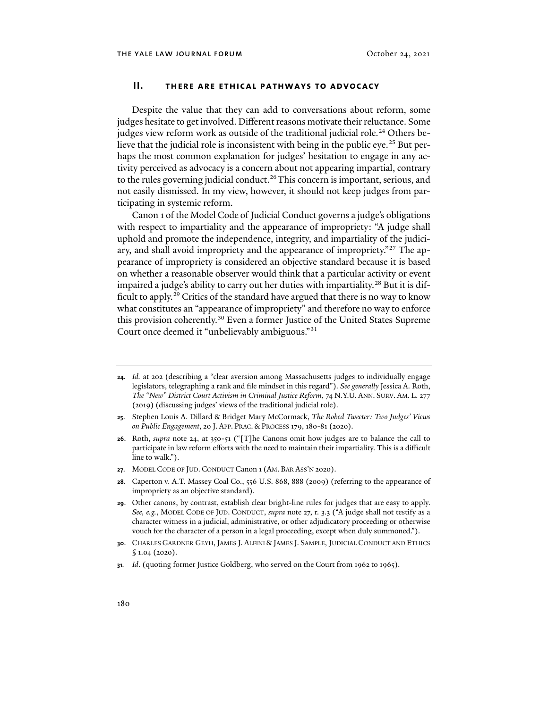## <span id="page-5-0"></span>**II. there are ethical pathways to advocacy**

Despite the value that they can add to conversations about reform, some judges hesitate to get involved. Different reasons motivate their reluctance. Some judges view reform work as outside of the traditional judicial role.<sup>[24](#page-5-2)</sup> Others be-lieve that the judicial role is inconsistent with being in the public eye.<sup>[25](#page-5-3)</sup> But perhaps the most common explanation for judges' hesitation to engage in any activity perceived as advocacy is a concern about not appearing impartial, contrary to the rules governing judicial conduct.<sup>[26](#page-5-4)</sup>This concern is important, serious, and not easily dismissed. In my view, however, it should not keep judges from participating in systemic reform.

<span id="page-5-1"></span>Canon 1 of the Model Code of Judicial Conduct governs a judge's obligations with respect to impartiality and the appearance of impropriety: "A judge shall uphold and promote the independence, integrity, and impartiality of the judici-ary, and shall avoid impropriety and the appearance of impropriety."<sup>[27](#page-5-5)</sup> The appearance of impropriety is considered an objective standard because it is based on whether a reasonable observer would think that a particular activity or event impaired a judge's ability to carry out her duties with impartiality.<sup>[28](#page-5-6)</sup> But it is dif-ficult to apply.<sup>[29](#page-5-7)</sup> Critics of the standard have argued that there is no way to know what constitutes an "appearance of impropriety" and therefore no way to enforce this provision coherently.<sup>30</sup> Even a former Justice of the United States Supreme Court once deemed it "unbelievably ambiguous."[31](#page-5-9)

- <span id="page-5-4"></span>**26**. Roth, *supra* note [24,](#page-5-0) at 350-51 ("[T]he Canons omit how judges are to balance the call to participate in law reform efforts with the need to maintain their impartiality. This is a difficult line to walk.").
- <span id="page-5-5"></span>**27**. MODEL CODE OF JUD. CONDUCT Canon 1 (AM. BAR ASS'N 2020).
- <span id="page-5-6"></span>**28**. Caperton v. A.T. Massey Coal Co., 556 U.S. 868, 888 (2009) (referring to the appearance of impropriety as an objective standard).
- <span id="page-5-7"></span>**29**. Other canons, by contrast, establish clear bright-line rules for judges that are easy to apply. *See, e.g.*, MODEL CODE OF JUD. CONDUCT, *supra* not[e 27,](#page-5-1) r. 3.3 ("A judge shall not testify as a character witness in a judicial, administrative, or other adjudicatory proceeding or otherwise vouch for the character of a person in a legal proceeding, except when duly summoned.").
- <span id="page-5-8"></span>**30.** CHARLES GARDNER GEYH, JAMES J. ALFINI & JAMES J. SAMPLE, JUDICIAL CONDUCT AND ETHICS § 1.04 (2020).
- <span id="page-5-9"></span>**31***. Id*. (quoting former Justice Goldberg, who served on the Court from 1962 to 1965).

<span id="page-5-10"></span><span id="page-5-2"></span>**<sup>24</sup>***. Id.* at 202 (describing a "clear aversion among Massachusetts judges to individually engage legislators, telegraphing a rank and file mindset in this regard"). *See generally* Jessica A. Roth, *The "New" District Court Activism in Criminal Justice Reform*, 74 N.Y.U. ANN. SURV. AM. L. 277 (2019) (discussing judges' views of the traditional judicial role).

<span id="page-5-3"></span>**<sup>25</sup>**. Stephen Louis A. Dillard & Bridget Mary McCormack, *The Robed Tweeter: Two Judges' Views on Public Engagement*, 20 J. APP. PRAC. & PROCESS 179, 180-81 (2020).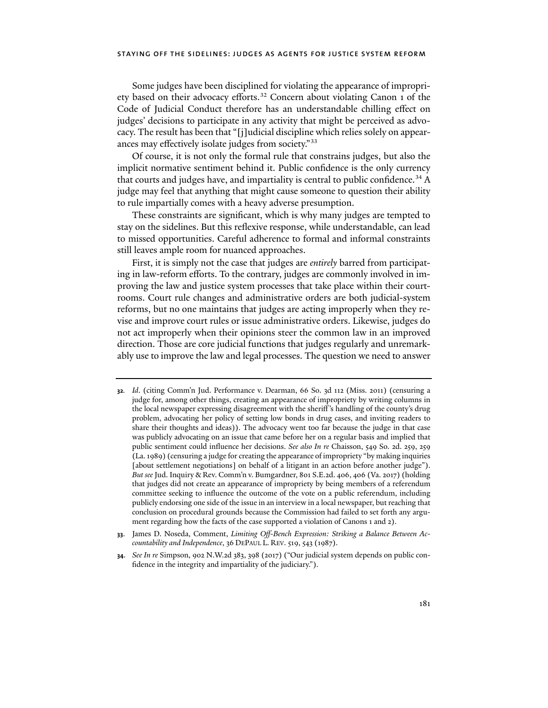Some judges have been disciplined for violating the appearance of impropri-ety based on their advocacy efforts.<sup>[32](#page-6-0)</sup> Concern about violating Canon 1 of the Code of Judicial Conduct therefore has an understandable chilling effect on judges' decisions to participate in any activity that might be perceived as advocacy. The result has been that "[j]udicial discipline which relies solely on appearances may effectively isolate judges from society."[33](#page-6-1)

Of course, it is not only the formal rule that constrains judges, but also the implicit normative sentiment behind it. Public confidence is the only currency that courts and judges have, and impartiality is central to public confidence.<sup>[34](#page-6-2)</sup> A judge may feel that anything that might cause someone to question their ability to rule impartially comes with a heavy adverse presumption.

These constraints are significant, which is why many judges are tempted to stay on the sidelines. But this reflexive response, while understandable, can lead to missed opportunities. Careful adherence to formal and informal constraints still leaves ample room for nuanced approaches.

First, it is simply not the case that judges are *entirely* barred from participating in law-reform efforts. To the contrary, judges are commonly involved in improving the law and justice system processes that take place within their courtrooms. Court rule changes and administrative orders are both judicial-system reforms, but no one maintains that judges are acting improperly when they revise and improve court rules or issue administrative orders. Likewise, judges do not act improperly when their opinions steer the common law in an improved direction. Those are core judicial functions that judges regularly and unremarkably use to improve the law and legal processes. The question we need to answer

<span id="page-6-0"></span>**<sup>32</sup>***. Id*. (citing Comm'n Jud. Performance v. Dearman, 66 So. 3d 112 (Miss. 2011) (censuring a judge for, among other things, creating an appearance of impropriety by writing columns in the local newspaper expressing disagreement with the sheriff's handling of the county's drug problem, advocating her policy of setting low bonds in drug cases, and inviting readers to share their thoughts and ideas)). The advocacy went too far because the judge in that case was publicly advocating on an issue that came before her on a regular basis and implied that public sentiment could influence her decisions. *See also In re* Chaisson, 549 So. 2d. 259, 259 (La. 1989) (censuring a judge for creating the appearance of impropriety "by making inquiries [about settlement negotiations] on behalf of a litigant in an action before another judge"). *But see* Jud. Inquiry & Rev. Comm'n v. Bumgardner, 801 S.E.2d. 406, 406 (Va. 2017) (holding that judges did not create an appearance of impropriety by being members of a referendum committee seeking to influence the outcome of the vote on a public referendum, including publicly endorsing one side of the issue in an interview in a local newspaper, but reaching that conclusion on procedural grounds because the Commission had failed to set forth any argument regarding how the facts of the case supported a violation of Canons 1 and 2).

<span id="page-6-1"></span>**<sup>33</sup>**. James D. Noseda, Comment, *Limiting Off-Bench Expression: Striking a Balance Between Accountability and Independence*, 36 DEPAUL L. REV. 519, 543 (1987).

<span id="page-6-2"></span>**<sup>34</sup>**. *See In re* Simpson, 902 N.W.2d 383, 398 (2017) ("Our judicial system depends on public confidence in the integrity and impartiality of the judiciary.").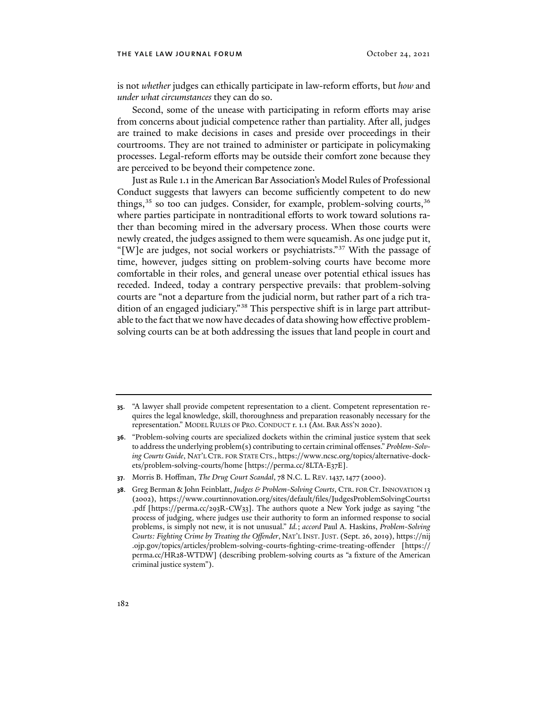is not *whether* judges can ethically participate in law-reform efforts, but *how* and *under what circumstances* they can do so.

Second, some of the unease with participating in reform efforts may arise from concerns about judicial competence rather than partiality. After all, judges are trained to make decisions in cases and preside over proceedings in their courtrooms. They are not trained to administer or participate in policymaking processes. Legal-reform efforts may be outside their comfort zone because they are perceived to be beyond their competence zone.

Just as Rule 1.1 in the American Bar Association's Model Rules of Professional Conduct suggests that lawyers can become sufficiently competent to do new things, $35$  so too can judges. Consider, for example, problem-solving courts,  $36$ where parties participate in nontraditional efforts to work toward solutions rather than becoming mired in the adversary process. When those courts were newly created, the judges assigned to them were squeamish. As one judge put it, "[W]e are judges, not social workers or psychiatrists."[37](#page-7-2) With the passage of time, however, judges sitting on problem-solving courts have become more comfortable in their roles, and general unease over potential ethical issues has receded. Indeed, today a contrary perspective prevails: that problem-solving courts are "not a departure from the judicial norm, but rather part of a rich tra-dition of an engaged judiciary."<sup>[38](#page-7-3)</sup> This perspective shift is in large part attributable to the fact that we now have decades of data showing how effective problemsolving courts can be at both addressing the issues that land people in court and

<span id="page-7-4"></span><span id="page-7-0"></span>**<sup>35</sup>**. "A lawyer shall provide competent representation to a client. Competent representation requires the legal knowledge, skill, thoroughness and preparation reasonably necessary for the representation." MODEL RULES OF PRO. CONDUCT r. 1.1 (AM. BAR ASS'N 2020).

<span id="page-7-1"></span>**<sup>36</sup>**. "Problem-solving courts are specialized dockets within the criminal justice system that seek to address the underlying problem(s) contributing to certain criminal offenses." *Problem-Solving Courts Guide*, NAT'L CTR. FOR STATE CTS., https://www.ncsc.org/topics/alternative-dockets/problem-solving-courts/home [https://perma.cc/8LTA-E37E].

<span id="page-7-2"></span>**<sup>37</sup>**. Morris B. Hoffman, *The Drug Court Scandal*, 78 N.C. L. REV.1437,1477 (2000).

<span id="page-7-3"></span>**<sup>38</sup>**. Greg Berman & John Feinblatt, *Judges & Problem-Solving Courts*, CTR. FOR CT. INNOVATION 13 (2002), https://www.courtinnovation.org/sites/default/files/JudgesProblemSolvingCourts1 .pdf [https://perma.cc/293R-CW33]. The authors quote a New York judge as saying "the process of judging, where judges use their authority to form an informed response to social problems, is simply not new, it is not unusual." *Id.*; *accord* Paul A. Haskins, *Problem-Solving Courts: Fighting Crime by Treating the Offender*, NAT'L INST.JUST. (Sept. 26, 2019), https://nij .ojp.gov/topics/articles/problem-solving-courts-fighting-crime-treating-offender [https:// perma.cc/HR28-WTDW] (describing problem-solving courts as "a fixture of the American criminal justice system").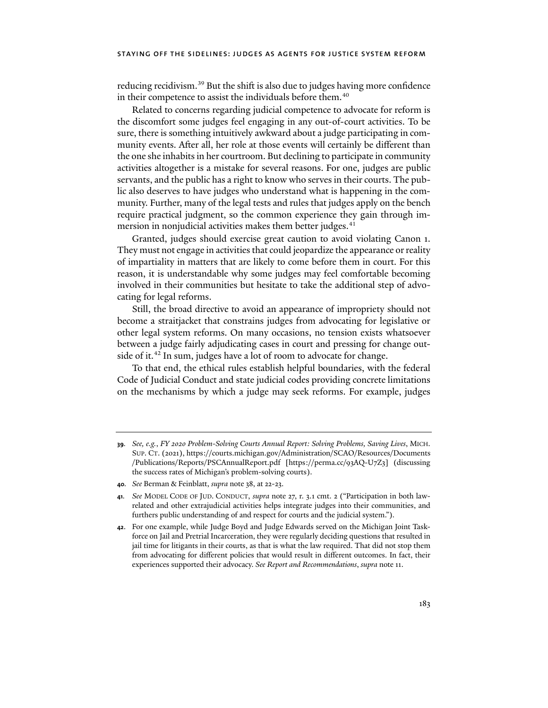reducing recidivism.<sup>[39](#page-8-0)</sup> But the shift is also due to judges having more confidence in their competence to assist the individuals before them.<sup>[40](#page-8-1)</sup>

Related to concerns regarding judicial competence to advocate for reform is the discomfort some judges feel engaging in any out-of-court activities. To be sure, there is something intuitively awkward about a judge participating in community events. After all, her role at those events will certainly be different than the one she inhabits in her courtroom. But declining to participate in community activities altogether is a mistake for several reasons. For one, judges are public servants, and the public has a right to know who serves in their courts. The public also deserves to have judges who understand what is happening in the community. Further, many of the legal tests and rules that judges apply on the bench require practical judgment, so the common experience they gain through im-mersion in nonjudicial activities makes them better judges.<sup>[41](#page-8-2)</sup>

Granted, judges should exercise great caution to avoid violating Canon 1. They must not engage in activities that could jeopardize the appearance or reality of impartiality in matters that are likely to come before them in court. For this reason, it is understandable why some judges may feel comfortable becoming involved in their communities but hesitate to take the additional step of advocating for legal reforms.

Still, the broad directive to avoid an appearance of impropriety should not become a straitjacket that constrains judges from advocating for legislative or other legal system reforms. On many occasions, no tension exists whatsoever between a judge fairly adjudicating cases in court and pressing for change out-side of it.<sup>[42](#page-8-3)</sup> In sum, judges have a lot of room to advocate for change.

To that end, the ethical rules establish helpful boundaries, with the federal Code of Judicial Conduct and state judicial codes providing concrete limitations on the mechanisms by which a judge may seek reforms. For example, judges

<span id="page-8-0"></span>**<sup>39</sup>***. See, e.g.*, *FY 2020 Problem-Solving Courts Annual Report: Solving Problems, Saving Lives*, MICH. SUP. CT. (2021), https://courts.michigan.gov/Administration/SCAO/Resources/Documents /Publications/Reports/PSCAnnualReport.pdf [https://perma.cc/93AQ-U7Z3] (discussing the success rates of Michigan's problem-solving courts).

<span id="page-8-1"></span>**<sup>40</sup>***. See* Berman & Feinblatt, *supra* note [38,](#page-7-4) at 22-23.

<span id="page-8-2"></span>**<sup>41</sup>***. See* MODEL CODE OF JUD. CONDUCT, *supra* note [27,](#page-5-1) r. 3.1 cmt. 2 ("Participation in both lawrelated and other extrajudicial activities helps integrate judges into their communities, and furthers public understanding of and respect for courts and the judicial system.").

<span id="page-8-3"></span>**<sup>42</sup>**. For one example, while Judge Boyd and Judge Edwards served on the Michigan Joint Taskforce on Jail and Pretrial Incarceration, they were regularly deciding questions that resulted in jail time for litigants in their courts, as that is what the law required. That did not stop them from advocating for different policies that would result in different outcomes. In fact, their experiences supported their advocacy. *See Report and Recommendations*, *supra* note [11.](#page-2-0)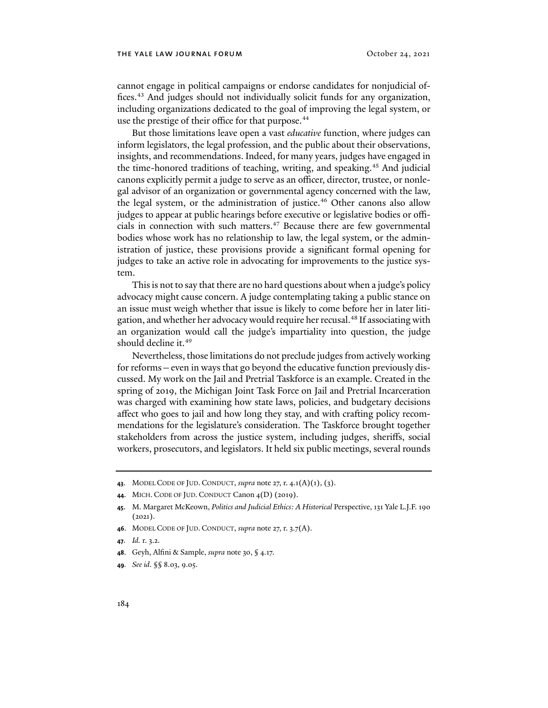cannot engage in political campaigns or endorse candidates for nonjudicial of-fices.<sup>[43](#page-9-0)</sup> And judges should not individually solicit funds for any organization, including organizations dedicated to the goal of improving the legal system, or use the prestige of their office for that purpose.<sup>[44](#page-9-1)</sup>

But those limitations leave open a vast *educative* function, where judges can inform legislators, the legal profession, and the public about their observations, insights, and recommendations. Indeed, for many years, judges have engaged in the time-honored traditions of teaching, writing, and speaking.[45](#page-9-2) And judicial canons explicitly permit a judge to serve as an officer, director, trustee, or nonlegal advisor of an organization or governmental agency concerned with the law, the legal system, or the administration of justice.<sup>[46](#page-9-3)</sup> Other canons also allow judges to appear at public hearings before executive or legislative bodies or offi-cials in connection with such matters.<sup>[47](#page-9-4)</sup> Because there are few governmental bodies whose work has no relationship to law, the legal system, or the administration of justice, these provisions provide a significant formal opening for judges to take an active role in advocating for improvements to the justice system.

This is not to say that there are no hard questions about when a judge's policy advocacy might cause concern. A judge contemplating taking a public stance on an issue must weigh whether that issue is likely to come before her in later litigation, and whether her advocacy would require her recusal.[48](#page-9-5) If associating with an organization would call the judge's impartiality into question, the judge should decline it.<sup>[49](#page-9-6)</sup>

Nevertheless, those limitations do not preclude judges from actively working for reforms—even in ways that go beyond the educative function previously discussed. My work on the Jail and Pretrial Taskforce is an example. Created in the spring of 2019, the Michigan Joint Task Force on Jail and Pretrial Incarceration was charged with examining how state laws, policies, and budgetary decisions affect who goes to jail and how long they stay, and with cra�ing policy recommendations for the legislature's consideration. The Taskforce brought together stakeholders from across the justice system, including judges, sheriffs, social workers, prosecutors, and legislators. It held six public meetings, several rounds

- <span id="page-9-5"></span>**48**. Geyh, Alfini & Sample, *supra* not[e 30,](#page-5-10) § 4.17.
- <span id="page-9-6"></span>**49***. See id*. §§ 8.03, 9.05.

<span id="page-9-0"></span>**<sup>43</sup>**. MODEL CODE OF JUD. CONDUCT, *supra* note [27,](#page-5-1) r. 4.1(A)(1), (3).

<span id="page-9-1"></span>**<sup>44</sup>**. MICH. CODE OF JUD. CONDUCT Canon 4(D) (2019).

<span id="page-9-2"></span>**<sup>45</sup>**. M. Margaret McKeown, *Politics and Judicial Ethics: A Historical* Perspective, 131 Yale L.J.F. 190 (2021).

<span id="page-9-3"></span>**<sup>46</sup>**. MODEL CODE OF JUD. CONDUCT, *supra* note [27,](#page-5-1) r. 3.7(A).

<span id="page-9-4"></span>**<sup>47</sup>***. Id.* r. 3.2.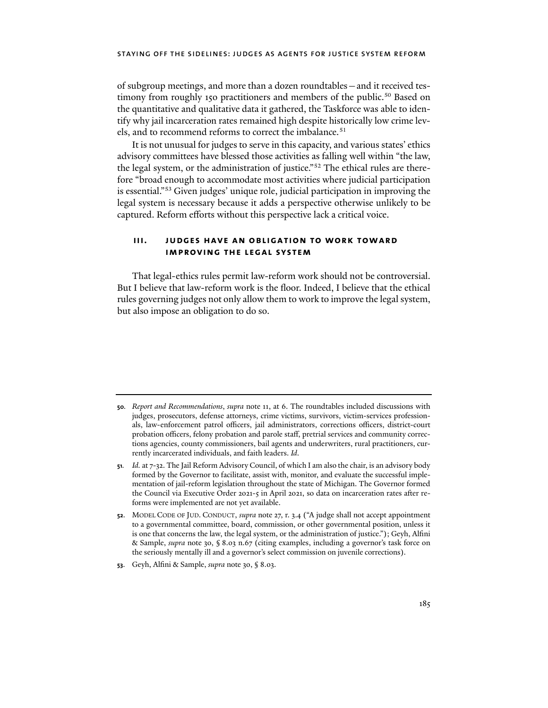of subgroup meetings, and more than a dozen roundtables—and it received tes-timony from roughly 1[50](#page-10-0) practitioners and members of the public.<sup>50</sup> Based on the quantitative and qualitative data it gathered, the Taskforce was able to identify why jail incarceration rates remained high despite historically low crime lev-els, and to recommend reforms to correct the imbalance.<sup>[51](#page-10-1)</sup>

It is not unusual for judges to serve in this capacity, and various states' ethics advisory committees have blessed those activities as falling well within "the law, the legal system, or the administration of justice."[52](#page-10-2) The ethical rules are therefore "broad enough to accommodate most activities where judicial participation is essential.["53](#page-10-3) Given judges' unique role, judicial participation in improving the legal system is necessary because it adds a perspective otherwise unlikely to be captured. Reform efforts without this perspective lack a critical voice.

## **iii. judges have an obligation to work toward improving the legal system**

That legal-ethics rules permit law-reform work should not be controversial. But I believe that law-reform work is the floor. Indeed, I believe that the ethical rules governing judges not only allow them to work to improve the legal system, but also impose an obligation to do so.

<span id="page-10-3"></span>**53**. Geyh, Alfini & Sample, *supra* not[e 30,](#page-5-10) § 8.03.

<span id="page-10-0"></span>**<sup>50</sup>***. Report and Recommendations*, *supra* not[e 11,](#page-2-0) at 6. The roundtables included discussions with judges, prosecutors, defense attorneys, crime victims, survivors, victim-services professionals, law-enforcement patrol officers, jail administrators, corrections officers, district-court probation officers, felony probation and parole staff, pretrial services and community corrections agencies, county commissioners, bail agents and underwriters, rural practitioners, currently incarcerated individuals, and faith leaders. *Id*.

<span id="page-10-1"></span>**<sup>51</sup>***. Id.* at 7-32. The Jail Reform Advisory Council, of which I am also the chair, is an advisory body formed by the Governor to facilitate, assist with, monitor, and evaluate the successful implementation of jail-reform legislation throughout the state of Michigan. The Governor formed the Council via Executive Order 2021-5 in April 2021, so data on incarceration rates a�er reforms were implemented are not yet available.

<span id="page-10-2"></span>**<sup>52</sup>**. MODEL CODE OF JUD. CONDUCT, *supra* not[e 27,](#page-5-1) r. 3.4 ("A judge shall not accept appointment to a governmental committee, board, commission, or other governmental position, unless it is one that concerns the law, the legal system, or the administration of justice."); Geyh, Alfini & Sample, *supra* note [30,](#page-5-10) § 8.03 n.67 (citing examples, including a governor's task force on the seriously mentally ill and a governor's select commission on juvenile corrections).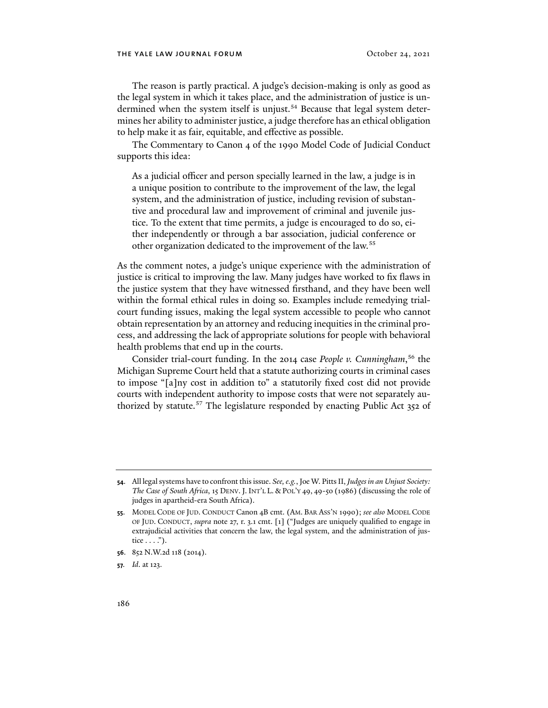The reason is partly practical. A judge's decision-making is only as good as the legal system in which it takes place, and the administration of justice is un-dermined when the system itself is unjust.<sup>[54](#page-11-0)</sup> Because that legal system determines her ability to administer justice, a judge therefore has an ethical obligation to help make it as fair, equitable, and effective as possible.

The Commentary to Canon 4 of the 1990 Model Code of Judicial Conduct supports this idea:

As a judicial officer and person specially learned in the law, a judge is in a unique position to contribute to the improvement of the law, the legal system, and the administration of justice, including revision of substantive and procedural law and improvement of criminal and juvenile justice. To the extent that time permits, a judge is encouraged to do so, either independently or through a bar association, judicial conference or other organization dedicated to the improvement of the law.<sup>[55](#page-11-1)</sup>

As the comment notes, a judge's unique experience with the administration of justice is critical to improving the law. Many judges have worked to fix flaws in the justice system that they have witnessed firsthand, and they have been well within the formal ethical rules in doing so. Examples include remedying trialcourt funding issues, making the legal system accessible to people who cannot obtain representation by an attorney and reducing inequities in the criminal process, and addressing the lack of appropriate solutions for people with behavioral health problems that end up in the courts.

Consider trial-court funding. In the 2014 case *People v. Cunningham*, [56](#page-11-2) the Michigan Supreme Court held that a statute authorizing courts in criminal cases to impose "[a]ny cost in addition to" a statutorily fixed cost did not provide courts with independent authority to impose costs that were not separately au-thorized by statute.<sup>[57](#page-11-3)</sup> The legislature responded by enacting Public Act 352 of

<span id="page-11-2"></span>**56**. 852 N.W.2d 118 (2014).

<span id="page-11-3"></span>**57***. Id*. at 123.

<span id="page-11-0"></span>**<sup>54</sup>**. All legal systems have to confront this issue. *See, e.g.*, Joe W. Pitts II, *Judges in an Unjust Society: The Case of South Africa*, 15 DENV. J. INT'L L. & POL'Y 49, 49-50 (1986) (discussing the role of judges in apartheid-era South Africa).

<span id="page-11-1"></span>**<sup>55</sup>**. MODEL CODE OF JUD. CONDUCT Canon 4B cmt. (AM. BAR ASS'N 1990); *see also* MODEL CODE OF JUD. CONDUCT, *supra* note [27,](#page-5-1) r. 3.1 cmt. [1] ("Judges are uniquely qualified to engage in extrajudicial activities that concern the law, the legal system, and the administration of justice  $\dots$ ").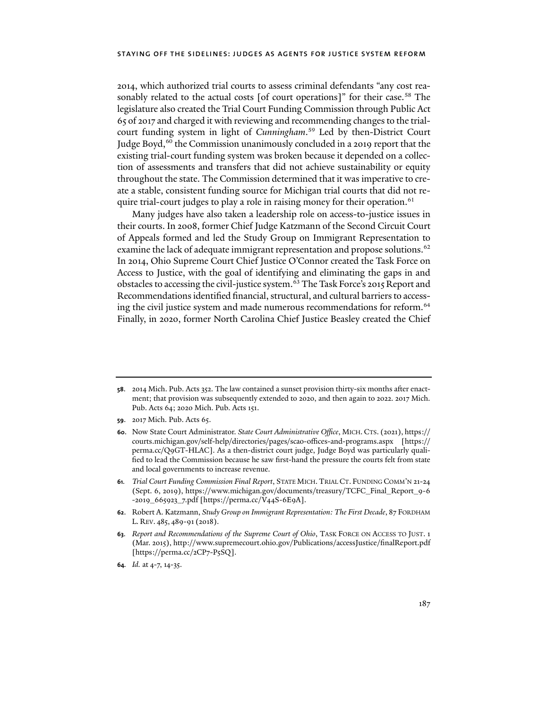2014, which authorized trial courts to assess criminal defendants "any cost rea-sonably related to the actual costs [of court operations]" for their case.<sup>[58](#page-12-0)</sup> The legislature also created the Trial Court Funding Commission through Public Act 65 of 2017 and charged it with reviewing and recommending changes to the trialcourt funding system in light of *Cunningham*. [59](#page-12-1) Led by then-District Court Judge Boyd,<sup>[60](#page-12-2)</sup> the Commission unanimously concluded in a 2019 report that the existing trial-court funding system was broken because it depended on a collection of assessments and transfers that did not achieve sustainability or equity throughout the state. The Commission determined that it was imperative to create a stable, consistent funding source for Michigan trial courts that did not re-quire trial-court judges to play a role in raising money for their operation.<sup>[61](#page-12-3)</sup>

Many judges have also taken a leadership role on access-to-justice issues in their courts. In 2008, former Chief Judge Katzmann of the Second Circuit Court of Appeals formed and led the Study Group on Immigrant Representation to examine the lack of adequate immigrant representation and propose solutions.<sup>[62](#page-12-4)</sup> In 2014, Ohio Supreme Court Chief Justice O'Connor created the Task Force on Access to Justice, with the goal of identifying and eliminating the gaps in and obstacles to accessing the civil-justice system.<sup>[63](#page-12-5)</sup> The Task Force's 2015 Report and Recommendations identified financial, structural, and cultural barriers to access-ing the civil justice system and made numerous recommendations for reform.<sup>[64](#page-12-6)</sup> Finally, in 2020, former North Carolina Chief Justice Beasley created the Chief

- <span id="page-12-1"></span>**59**. 2017 Mich. Pub. Acts 65.
- <span id="page-12-2"></span>**60**. Now State Court Administrator. *State Court Administrative Office*, MICH. CTS. (2021), https:// courts.michigan.gov/self-help/directories/pages/scao-offices-and-programs.aspx [https:// perma.cc/Q9GT-HLAC]. As a then-district court judge, Judge Boyd was particularly qualified to lead the Commission because he saw first-hand the pressure the courts felt from state and local governments to increase revenue.
- <span id="page-12-3"></span>**61***. Trial Court Funding Commission Final Report*, STATE MICH. TRIAL CT. FUNDING COMM'N 21-24 (Sept. 6, 2019), https://www.michigan.gov/documents/treasury/TCFC\_Final\_Report\_9-6 -2019\_665923\_7.pdf [https://perma.cc/V44S-6E9A].
- <span id="page-12-4"></span>**62**. Robert A. Katzmann, *Study Group on Immigrant Representation: The First Decade*, 87 FORDHAM L. REV. 485, 489-91 (2018).
- <span id="page-12-5"></span>**63***. Report and Recommendations of the Supreme Court of Ohio*, TASK FORCE ON ACCESS TO JUST. 1 (Mar. 2015), http://www.supremecourt.ohio.gov/Publications/accessJustice/finalReport.pdf [https://perma.cc/2CP7-P5SQ].
- <span id="page-12-6"></span>**64***. Id.* at 4-7, 14-35.

<span id="page-12-0"></span>**<sup>58</sup>**. 2014 Mich. Pub. Acts 352. The law contained a sunset provision thirty-six months a�er enactment; that provision was subsequently extended to 2020, and then again to 2022. 2017 Mich. Pub. Acts 64; 2020 Mich. Pub. Acts 151.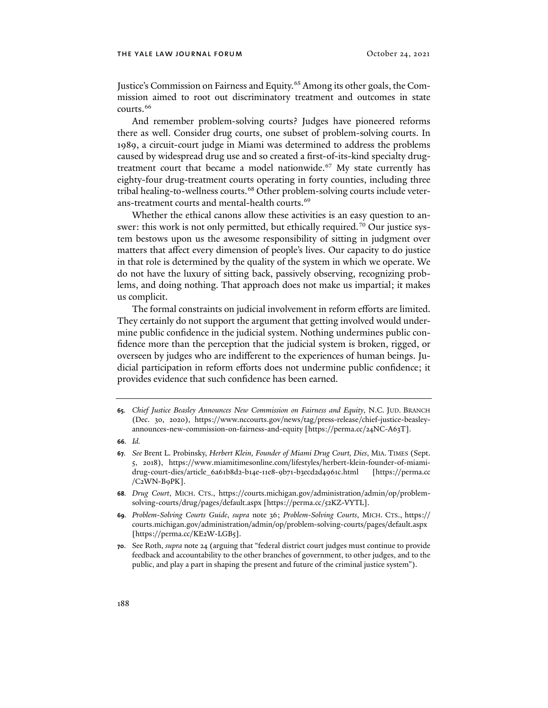Justice's Commission on Fairness and Equity.<sup>[65](#page-13-0)</sup> Among its other goals, the Commission aimed to root out discriminatory treatment and outcomes in state courts.<sup>[66](#page-13-1)</sup>

And remember problem-solving courts? Judges have pioneered reforms there as well. Consider drug courts, one subset of problem-solving courts. In 1989, a circuit-court judge in Miami was determined to address the problems caused by widespread drug use and so created a first-of-its-kind specialty drugtreatment court that became a model nationwide.<sup>67</sup> My state currently has eighty-four drug-treatment courts operating in forty counties, including three tribal healing-to-wellness courts.<sup>[68](#page-13-3)</sup> Other problem-solving courts include veter-ans-treatment courts and mental-health courts.<sup>[69](#page-13-4)</sup>

Whether the ethical canons allow these activities is an easy question to an-swer: this work is not only permitted, but ethically required.<sup>[70](#page-13-5)</sup> Our justice system bestows upon us the awesome responsibility of sitting in judgment over matters that affect every dimension of people's lives. Our capacity to do justice in that role is determined by the quality of the system in which we operate. We do not have the luxury of sitting back, passively observing, recognizing problems, and doing nothing. That approach does not make us impartial; it makes us complicit.

The formal constraints on judicial involvement in reform efforts are limited. They certainly do not support the argument that getting involved would undermine public confidence in the judicial system. Nothing undermines public confidence more than the perception that the judicial system is broken, rigged, or overseen by judges who are indifferent to the experiences of human beings. Judicial participation in reform efforts does not undermine public confidence; it provides evidence that such confidence has been earned.

- <span id="page-13-1"></span>**66***. Id.*
- <span id="page-13-2"></span>**67***. See* Brent L. Probinsky, *Herbert Klein, Founder of Miami Drug Court, Dies*, MIA. TIMES (Sept. 5, 2018), https://www.miamitimesonline.com/lifestyles/herbert-klein-founder-of-miamidrug-court-dies/article\_6a61b8d2-b14e-11e8-9b71-b3ecd2d4961c.html [https://perma.cc /C2WN-B9PK].
- <span id="page-13-3"></span>**68***. Drug Court*, MICH. CTS., https://courts.michigan.gov/administration/admin/op/problemsolving-courts/drug/pages/default.aspx [https://perma.cc/52KZ-VYTL].
- <span id="page-13-4"></span>**69***. Problem-Solving Courts Guide*, *supra* note 36; *Problem-Solving Courts*, MICH. CTS., https:// courts.michigan.gov/administration/admin/op/problem-solving-courts/pages/default.aspx [https://perma.cc/KE2W-LGB5].
- <span id="page-13-5"></span>**70**. See Roth, *supra* note 24 (arguing that "federal district court judges must continue to provide feedback and accountability to the other branches of government, to other judges, and to the public, and play a part in shaping the present and future of the criminal justice system").

<span id="page-13-0"></span>**<sup>65</sup>***. Chief Justice Beasley Announces New Commission on Fairness and Equity*, N.C. JUD. BRANCH (Dec. 30, 2020), https://www.nccourts.gov/news/tag/press-release/chief-justice-beasleyannounces-new-commission-on-fairness-and-equity [https://perma.cc/24NC-A63T].